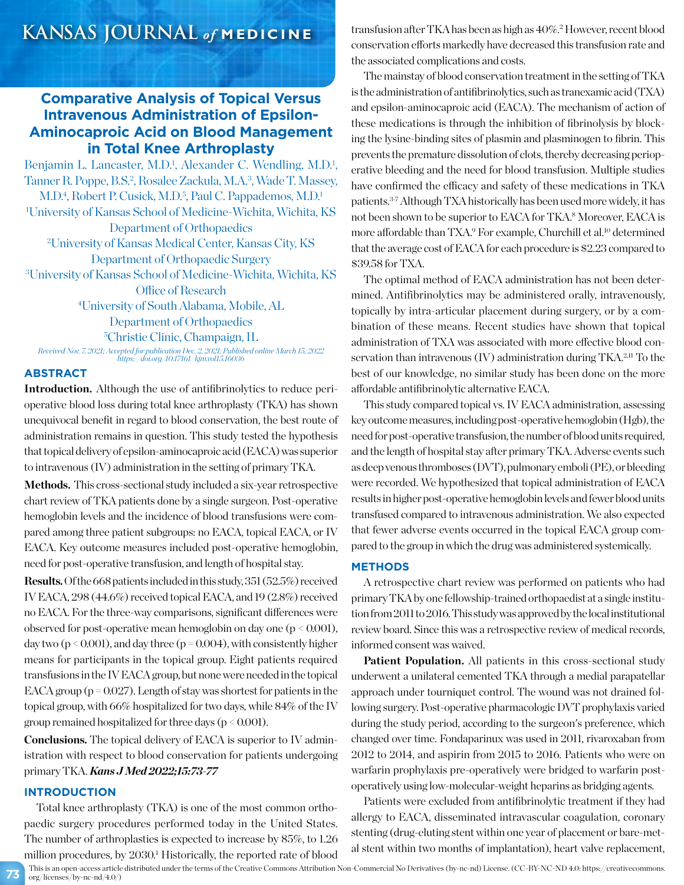# **Comparative Analysis of Topical Versus Intravenous Administration of Epsilon-Aminocaproic Acid on Blood Management in Total Knee Arthroplasty**

Benjamin L. Lancaster, M.D.<sup>1</sup>, Alexander C. Wendling, M.D.<sup>1</sup>, Tanner R. Poppe, B.S.<sup>2</sup>, Rosalee Zackula, M.A.<sup>3</sup>, Wade T. Massey, M.D.<sup>4</sup>, Robert P. Cusick, M.D.<sup>5</sup>, Paul C. Pappademos, M.D.<sup>1</sup> 1 University of Kansas School of Medicine-Wichita, Wichita, KS Department of Orthopaedics 2 University of Kansas Medical Center, Kansas City, KS Department of Orthopaedic Surgery 3 University of Kansas School of Medicine-Wichita, Wichita, KS Office of Research 4 University of South Alabama, Mobile, AL Department of Orthopaedics 5 Christie Clinic, Champaign, IL

*Received Nov. 7, 2021; Accepted for publication Dec. 2, 2021; Published online March 15, 2022 https://doi.org/10.17161/kjm.vol15.16036*

## **ABSTRACT**

**Introduction.** Although the use of antifibrinolytics to reduce perioperative blood loss during total knee arthroplasty (TKA) has shown unequivocal benefit in regard to blood conservation, the best route of administration remains in question. This study tested the hypothesis that topical delivery of epsilon-aminocaproic acid (EACA) was superior to intravenous (IV) administration in the setting of primary TKA.

Methods. This cross-sectional study included a six-year retrospective chart review of TKA patients done by a single surgeon. Post-operative hemoglobin levels and the incidence of blood transfusions were compared among three patient subgroups: no EACA, topical EACA, or IV EACA. Key outcome measures included post-operative hemoglobin, need for post-operative transfusion, and length of hospital stay.

**Results.** Of the 668 patients included in this study, 351 (52.5%) received IV EACA, 298 (44.6%) received topical EACA, and 19 (2.8%) received no EACA. For the three-way comparisons, significant differences were observed for post-operative mean hemoglobin on day one  $(p < 0.001)$ , day two ( $p \le 0.001$ ), and day three ( $p = 0.004$ ), with consistently higher means for participants in the topical group. Eight patients required transfusions in the IV EACA group, but none were needed in the topical EACA group ( $p = 0.027$ ). Length of stay was shortest for patients in the topical group, with 66% hospitalized for two days, while 84% of the IV group remained hospitalized for three days ( $p < 0.001$ ).

**Conclusions.** The topical delivery of EACA is superior to IV administration with respect to blood conservation for patients undergoing primary TKA. *Kans J Med 2022;15:73-77*

# **INTRODUCTION**

**73**

Total knee arthroplasty (TKA) is one of the most common orthopaedic surgery procedures performed today in the United States. The number of arthroplasties is expected to increase by 85%, to 1.26 million procedures, by 2030.<sup>1</sup> Historically, the reported rate of blood

transfusion after TKA has been as high as 40%.2 However, recent blood conservation efforts markedly have decreased this transfusion rate and the associated complications and costs.

The mainstay of blood conservation treatment in the setting of TKA is the administration of antifibrinolytics, such as tranexamic acid (TXA) and epsilon-aminocaproic acid (EACA). The mechanism of action of these medications is through the inhibition of fibrinolysis by blocking the lysine-binding sites of plasmin and plasminogen to fibrin. This prevents the premature dissolution of clots, thereby decreasing perioperative bleeding and the need for blood transfusion. Multiple studies have confirmed the efficacy and safety of these medications in TKA patients.3-7 Although TXA historically has been used more widely, it has not been shown to be superior to EACA for TKA.<sup>8</sup> Moreover, EACA is more affordable than TXA.<sup>9</sup> For example, Churchill et al.<sup>10</sup> determined that the average cost of EACA for each procedure is \$2.23 compared to \$39.58 for TXA.

The optimal method of EACA administration has not been determined. Antifibrinolytics may be administered orally, intravenously, topically by intra-articular placement during surgery, or by a combination of these means. Recent studies have shown that topical administration of TXA was associated with more effective blood conservation than intravenous  $(IV)$  administration during  $TKA^{2,11}$  To the best of our knowledge, no similar study has been done on the more affordable antifibrinolytic alternative EACA.

This study compared topical vs. IV EACA administration, assessing key outcome measures, including post-operative hemoglobin (Hgb), the need for post-operative transfusion, the number of blood units required, and the length of hospital stay after primary TKA. Adverse events such as deep venous thromboses (DVT), pulmonary emboli (PE), or bleeding were recorded. We hypothesized that topical administration of EACA results in higher post-operative hemoglobin levels and fewer blood units transfused compared to intravenous administration. We also expected that fewer adverse events occurred in the topical EACA group compared to the group in which the drug was administered systemically.

#### **METHODS**

A retrospective chart review was performed on patients who had primary TKA by one fellowship-trained orthopaedist at a single institution from 2011 to 2016. This study was approved by the local institutional review board. Since this was a retrospective review of medical records, informed consent was waived.

**Patient Population.** All patients in this cross-sectional study underwent a unilateral cemented TKA through a medial parapatellar approach under tourniquet control. The wound was not drained following surgery. Post-operative pharmacologic DVT prophylaxis varied during the study period, according to the surgeon's preference, which changed over time. Fondaparinux was used in 2011, rivaroxaban from 2012 to 2014, and aspirin from 2015 to 2016. Patients who were on warfarin prophylaxis pre-operatively were bridged to warfarin postoperatively using low-molecular-weight heparins as bridging agents.

Patients were excluded from antifibrinolytic treatment if they had allergy to EACA, disseminated intravascular coagulation, coronary stenting (drug-eluting stent within one year of placement or bare-metal stent within two months of implantation), heart valve replacement,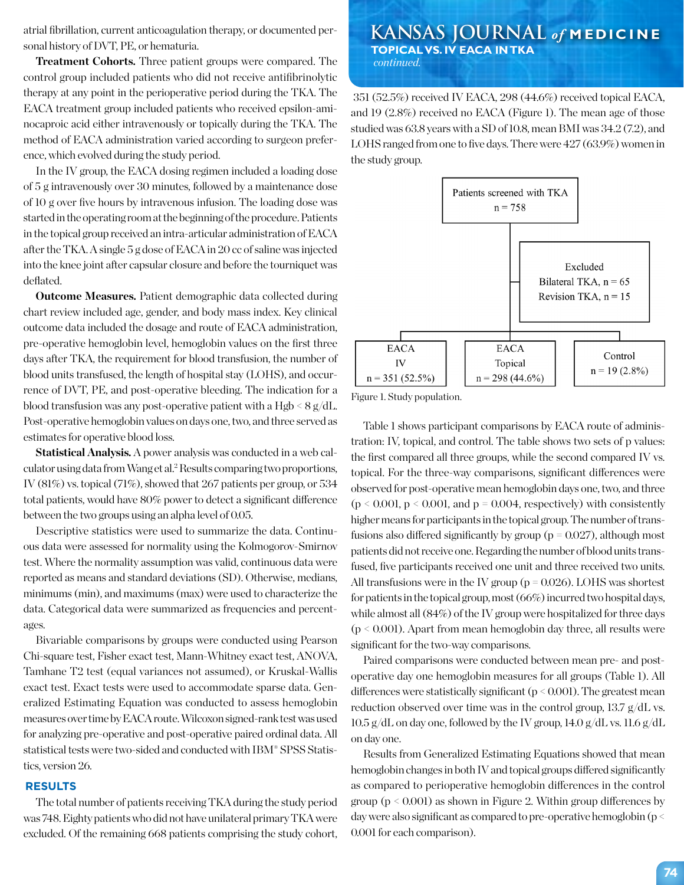atrial fibrillation, current anticoagulation therapy, or documented per-**KANSAS** JOURNAL of **MEDICINE** sonal history of DVT, PE, or hematuria.

**Treatment Cohorts.** Three patient groups were compared. The control group included patients who did not receive antifibrinolytic therapy at any point in the perioperative period during the TKA. The EACA treatment group included patients who received epsilon-aminocaproic acid either intravenously or topically during the TKA. The method of EACA administration varied according to surgeon preference, which evolved during the study period.

In the IV group, the EACA dosing regimen included a loading dose of 5 g intravenously over 30 minutes, followed by a maintenance dose of 10 g over five hours by intravenous infusion. The loading dose was started in the operating room at the beginning of the procedure. Patients in the topical group received an intra-articular administration of EACA after the TKA. A single 5 g dose of EACA in 20 cc of saline was injected into the knee joint after capsular closure and before the tourniquet was deflated.

**Outcome Measures.** Patient demographic data collected during chart review included age, gender, and body mass index. Key clinical outcome data included the dosage and route of EACA administration, pre-operative hemoglobin level, hemoglobin values on the first three days after TKA, the requirement for blood transfusion, the number of blood units transfused, the length of hospital stay (LOHS), and occurrence of DVT, PE, and post-operative bleeding. The indication for a blood transfusion was any post-operative patient with a Hgb  $\leq$  8 g/dL. Post-operative hemoglobin values on days one, two, and three served as estimates for operative blood loss.

**Statistical Analysis.** A power analysis was conducted in a web calculator using data from Wang et al.2 Results comparing two proportions, IV (81%) vs. topical (71%), showed that 267 patients per group, or 534 total patients, would have 80% power to detect a significant difference between the two groups using an alpha level of 0.05.

Descriptive statistics were used to summarize the data. Continuous data were assessed for normality using the Kolmogorov-Smirnov test. Where the normality assumption was valid, continuous data were reported as means and standard deviations (SD). Otherwise, medians, minimums (min), and maximums (max) were used to characterize the data. Categorical data were summarized as frequencies and percentages.

Bivariable comparisons by groups were conducted using Pearson Chi-square test, Fisher exact test, Mann-Whitney exact test, ANOVA, Tamhane T2 test (equal variances not assumed), or Kruskal-Wallis exact test. Exact tests were used to accommodate sparse data. Generalized Estimating Equation was conducted to assess hemoglobin measures over time by EACA route. Wilcoxon signed-rank test was used for analyzing pre-operative and post-operative paired ordinal data. All statistical tests were two-sided and conducted with IBM® SPSS Statistics, version 26.

# **RESULTS**

The total number of patients receiving TKA during the study period was 748. Eighty patients who did not have unilateral primary TKA were excluded. Of the remaining 668 patients comprising the study cohort,

# **TOPICAL VS. IV EACA IN TKA**

 *continued.*

 351 (52.5%) received IV EACA, 298 (44.6%) received topical EACA, and 19 (2.8%) received no EACA (Figure 1). The mean age of those studied was 63.8 years with a SD of 10.8, mean BMI was 34.2 (7.2), and LOHS ranged from one to five days. There were 427 (63.9%) women in the study group.



Figure 1. Study population.

Table 1 shows participant comparisons by EACA route of administration: IV, topical, and control. The table shows two sets of p values: the first compared all three groups, while the second compared IV vs. topical. For the three-way comparisons, significant differences were observed for post-operative mean hemoglobin days one, two, and three  $(p \le 0.001, p \le 0.001,$  and  $p = 0.004$ , respectively) with consistently higher means for participants in the topical group. The number of transfusions also differed significantly by group ( $p = 0.027$ ), although most patients did not receive one. Regarding the number of blood units transfused, five participants received one unit and three received two units. All transfusions were in the IV group ( $p = 0.026$ ). LOHS was shortest for patients in the topical group, most (66%) incurred two hospital days, while almost all (84%) of the IV group were hospitalized for three days  $(p \le 0.001)$ . Apart from mean hemoglobin day three, all results were significant for the two-way comparisons.

Paired comparisons were conducted between mean pre- and postoperative day one hemoglobin measures for all groups (Table 1). All differences were statistically significant ( $p < 0.001$ ). The greatest mean reduction observed over time was in the control group, 13.7 g/dL vs. 10.5 g/dL on day one, followed by the IV group, 14.0 g/dL vs. 11.6 g/dL on day one.

Results from Generalized Estimating Equations showed that mean hemoglobin changes in both IV and topical groups differed significantly as compared to perioperative hemoglobin differences in the control group ( $p < 0.001$ ) as shown in Figure 2. Within group differences by day were also significant as compared to pre-operative hemoglobin ( $p <$ 0.001 for each comparison).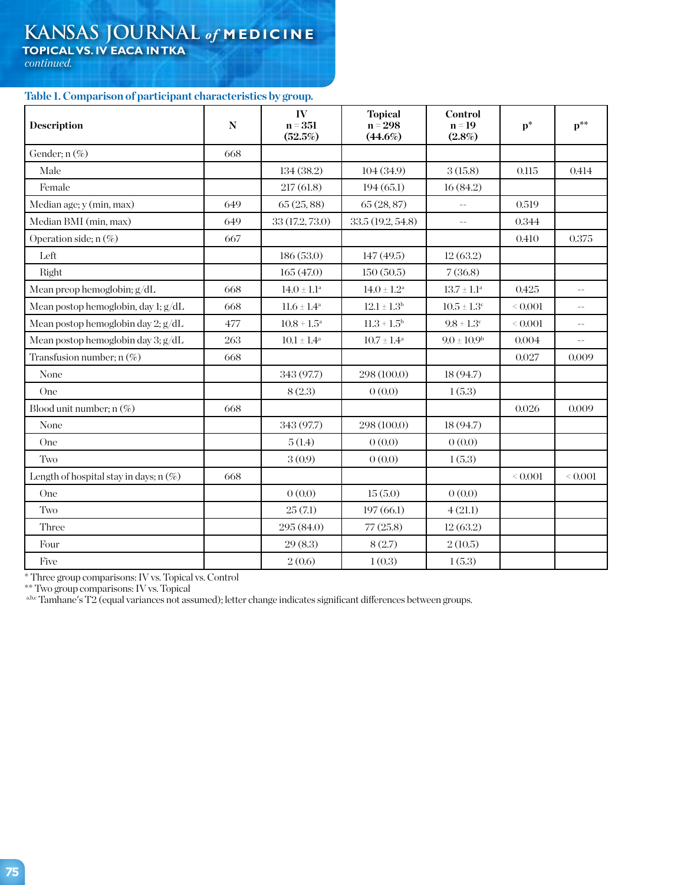# **KANSAS JOURNAL** *of* **MEDICINE**

 **TOPICAL VS. IV EACA IN TKA**

 *continued.*

# **Table 1. Comparison of participant characteristics by group.**

| Description                              | N   | IV<br>$n = 351$<br>(52.5%)  | <b>Topical</b><br>$n = 298$<br>$(44.6\%)$ | Control<br>$n = 19$<br>$(2.8\%)$ | $p^*$        | $p^{**}$                  |
|------------------------------------------|-----|-----------------------------|-------------------------------------------|----------------------------------|--------------|---------------------------|
| Gender; n (%)                            | 668 |                             |                                           |                                  |              |                           |
| Male                                     |     | 134(38.2)                   | 104(34.9)                                 | 3(15.8)                          | 0.115        | 0.414                     |
| Female                                   |     | 217(61.8)                   | 194(65.1)                                 | 16(84.2)                         |              |                           |
| Median age; y (min, max)                 | 649 | 65(25, 88)                  | 65(28, 87)                                | $- -$                            | 0.519        |                           |
| Median BMI (min, max)                    | 649 | 33 (17.2, 73.0)             | 33.5 (19.2, 54.8)                         | $\equiv$ $\equiv$                | 0.344        |                           |
| Operation side; $n(\%)$                  | 667 |                             |                                           |                                  | 0.410        | 0.375                     |
| Left                                     |     | 186(53.0)                   | 147(49.5)                                 | 12(63.2)                         |              |                           |
| Right                                    |     | 165(47.0)                   | 150(50.5)                                 | 7(36.8)                          |              |                           |
| Mean preop hemoglobin; g/dL              | 668 | $14.0\pm1.1^{\rm a}$        | $14.0\pm1.2^{\rm a}$                      | $13.7\pm1.1^{\rm a}$             | 0.425        | $\mathbb{L}^{\mathbb{L}}$ |
| Mean postop hemoglobin, day 1; g/dL      | 668 | $11.6 \pm 1.4^{\mathrm{a}}$ | $12.1 \pm 1.3^{\rm b}$                    | $10.5\pm1.3^{\rm c}$             | ${}_{0.001}$ | $\overline{\phantom{a}}$  |
| Mean postop hemoglobin day 2; g/dL       | 477 | $10.8+1.5^{\rm a}$          | $11.3 + 1.5^b$                            | $9.8 + 1.3^c$                    | ${}_{0.001}$ | $- -$                     |
| Mean postop hemoglobin day 3; g/dL       | 263 | $10.1 \pm 1.4^{\rm a}$      | $10.7\pm1.4^{\rm a}$                      | $9.0\pm10.9^{\rm b}$             | 0.004        | $-$                       |
| Transfusion number; $n(\%)$              | 668 |                             |                                           |                                  | 0.027        | 0.009                     |
| None                                     |     | 343 (97.7)                  | 298 (100.0)                               | 18(94.7)                         |              |                           |
| One                                      |     | 8(2.3)                      | 0(0.0)                                    | 1(5.3)                           |              |                           |
| Blood unit number; $n(\%)$               | 668 |                             |                                           |                                  | 0.026        | 0.009                     |
| None                                     |     | 343 (97.7)                  | 298 (100.0)                               | 18 (94.7)                        |              |                           |
| One                                      |     | 5(1.4)                      | 0(0.0)                                    | 0(0.0)                           |              |                           |
| Two                                      |     | 3(0.9)                      | 0(0.0)                                    | 1(5.3)                           |              |                           |
| Length of hospital stay in days; $n(\%)$ | 668 |                             |                                           |                                  | 0.001        | 0.001                     |
| One                                      |     | 0(0.0)                      | 15(5.0)                                   | 0(0.0)                           |              |                           |
| Two                                      |     | 25(7.1)                     | 197(66.1)                                 | 4(21.1)                          |              |                           |
| Three                                    |     | 295(84.0)                   | 77(25.8)                                  | 12(63.2)                         |              |                           |
| Four                                     |     | 29(8.3)                     | 8(2.7)                                    | 2(10.5)                          |              |                           |
| Five                                     |     | 2(0.6)                      | 1(0.3)                                    | 1(5.3)                           |              |                           |

\* Three group comparisons: IV vs. Topical vs. Control

\*\* Two group comparisons: IV vs. Topical

 $a,bc$  Tamhane's T2 (equal variances not assumed); letter change indicates significant differences between groups.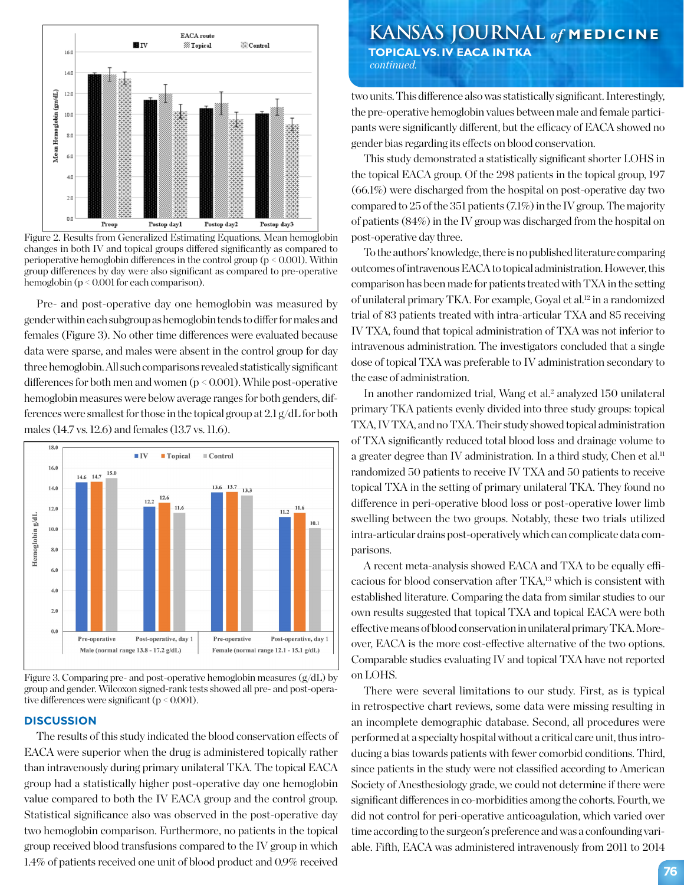

Figure 2. Results from Generalized Estimating Equations. Mean hemoglobin changes in both IV and topical groups differed significantly as compared to perioperative hemoglobin differences in the control group ( $p \le 0.001$ ). Within group differences by day were also significant as compared to pre-operative hemoglobin ( $p < 0.001$  for each comparison).

Pre- and post-operative day one hemoglobin was measured by gender within each subgroup as hemoglobin tends to differ for males and females (Figure 3). No other time differences were evaluated because data were sparse, and males were absent in the control group for day three hemoglobin. All such comparisons revealed statistically significant differences for both men and women (p < 0.001). While post-operative hemoglobin measures were below average ranges for both genders, differences were smallest for those in the topical group at 2.1 g/dL for both males (14.7 vs. 12.6) and females (13.7 vs. 11.6).



Figure 3. Comparing pre- and post-operative hemoglobin measures (g/dL) by group and gender. Wilcoxon signed-rank tests showed all pre- and post-operative differences were significant (p < 0.001).

# **DISCUSSION**

The results of this study indicated the blood conservation effects of EACA were superior when the drug is administered topically rather than intravenously during primary unilateral TKA. The topical EACA group had a statistically higher post-operative day one hemoglobin value compared to both the IV EACA group and the control group. Statistical significance also was observed in the post-operative day two hemoglobin comparison. Furthermore, no patients in the topical group received blood transfusions compared to the IV group in which 1.4% of patients received one unit of blood product and 0.9% received

# **KANSAS JOURNAL** *of* **MEDICINE TOPICAL VS. IV EACA IN TKA**

 *continued.*

two units. This difference also was statistically significant. Interestingly, the pre-operative hemoglobin values between male and female participants were significantly different, but the efficacy of EACA showed no gender bias regarding its effects on blood conservation.

This study demonstrated a statistically significant shorter LOHS in the topical EACA group. Of the 298 patients in the topical group, 197 (66.1%) were discharged from the hospital on post-operative day two compared to 25 of the 351 patients (7.1%) in the IV group. The majority of patients (84%) in the IV group was discharged from the hospital on post-operative day three.

To the authors' knowledge, there is no published literature comparing outcomes of intravenous EACA to topical administration. However, this comparison has been made for patients treated with TXA in the setting of unilateral primary TKA. For example, Goyal et al.12 in a randomized trial of 83 patients treated with intra-articular TXA and 85 receiving IV TXA, found that topical administration of TXA was not inferior to intravenous administration. The investigators concluded that a single dose of topical TXA was preferable to IV administration secondary to the ease of administration.

In another randomized trial, Wang et al.<sup>2</sup> analyzed 150 unilateral primary TKA patients evenly divided into three study groups: topical TXA, IV TXA, and no TXA. Their study showed topical administration of TXA significantly reduced total blood loss and drainage volume to a greater degree than IV administration. In a third study, Chen et al.<sup>11</sup> randomized 50 patients to receive IV TXA and 50 patients to receive topical TXA in the setting of primary unilateral TKA. They found no difference in peri-operative blood loss or post-operative lower limb swelling between the two groups. Notably, these two trials utilized intra-articular drains post-operatively which can complicate data comparisons.

A recent meta-analysis showed EACA and TXA to be equally efficacious for blood conservation after TKA,13 which is consistent with established literature. Comparing the data from similar studies to our own results suggested that topical TXA and topical EACA were both effective means of blood conservation in unilateral primary TKA. Moreover, EACA is the more cost-effective alternative of the two options. Comparable studies evaluating IV and topical TXA have not reported on LOHS.

There were several limitations to our study. First, as is typical in retrospective chart reviews, some data were missing resulting in an incomplete demographic database. Second, all procedures were performed at a specialty hospital without a critical care unit, thus introducing a bias towards patients with fewer comorbid conditions. Third, since patients in the study were not classified according to American Society of Anesthesiology grade, we could not determine if there were significant differences in co-morbidities among the cohorts. Fourth, we did not control for peri-operative anticoagulation, which varied over time according to the surgeon's preference and was a confounding variable. Fifth, EACA was administered intravenously from 2011 to 2014